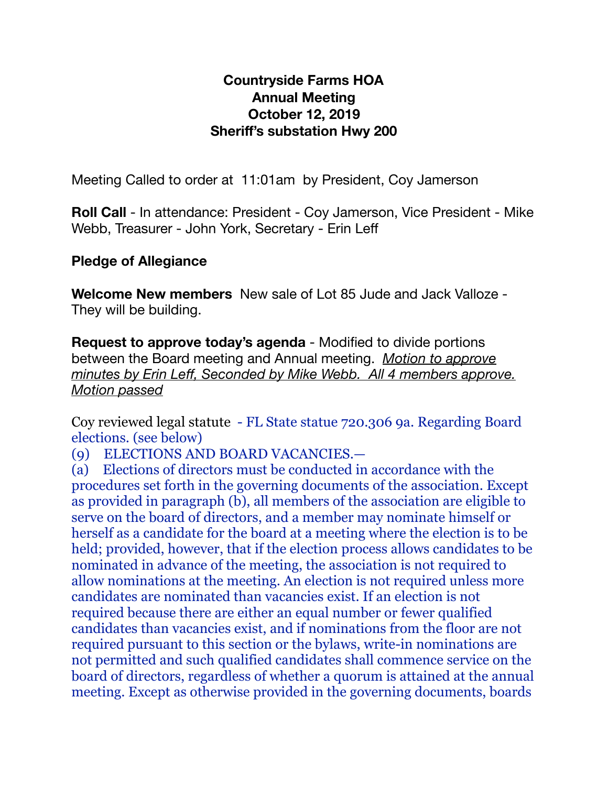## **Countryside Farms HOA Annual Meeting October 12, 2019 Sheriff's substation Hwy 200**

Meeting Called to order at 11:01am by President, Coy Jamerson

**Roll Call** - In attendance: President - Coy Jamerson, Vice President - Mike Webb, Treasurer - John York, Secretary - Erin Leff

# **Pledge of Allegiance**

**Welcome New members** New sale of Lot 85 Jude and Jack Valloze - They will be building.

**Request to approve today's agenda** - Modified to divide portions between the Board meeting and Annual meeting. *Motion to approve minutes by Erin Leff, Seconded by Mike Webb. All 4 members approve. Motion passed*

Coy reviewed legal statute - FL State statue 720.306 9a. Regarding Board elections. (see below)

(9) ELECTIONS AND BOARD VACANCIES.—

(a) Elections of directors must be conducted in accordance with the procedures set forth in the governing documents of the association. Except as provided in paragraph (b), all members of the association are eligible to serve on the board of directors, and a member may nominate himself or herself as a candidate for the board at a meeting where the election is to be held; provided, however, that if the election process allows candidates to be nominated in advance of the meeting, the association is not required to allow nominations at the meeting. An election is not required unless more candidates are nominated than vacancies exist. If an election is not required because there are either an equal number or fewer qualified candidates than vacancies exist, and if nominations from the floor are not required pursuant to this section or the bylaws, write-in nominations are not permitted and such qualified candidates shall commence service on the board of directors, regardless of whether a quorum is attained at the annual meeting. Except as otherwise provided in the governing documents, boards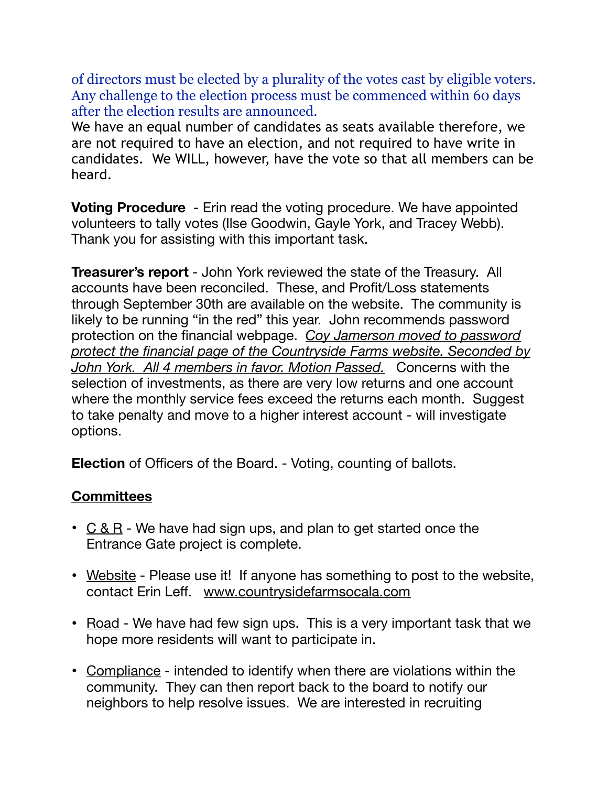of directors must be elected by a plurality of the votes cast by eligible voters. Any challenge to the election process must be commenced within 60 days after the election results are announced.

We have an equal number of candidates as seats available therefore, we are not required to have an election, and not required to have write in candidates. We WILL, however, have the vote so that all members can be heard.

**Voting Procedure** - Erin read the voting procedure. We have appointed volunteers to tally votes (Ilse Goodwin, Gayle York, and Tracey Webb). Thank you for assisting with this important task.

**Treasurer's report** - John York reviewed the state of the Treasury. All accounts have been reconciled. These, and Profit/Loss statements through September 30th are available on the website. The community is likely to be running "in the red" this year. John recommends password protection on the financial webpage. *Coy Jamerson moved to password protect the financial page of the Countryside Farms website. Seconded by John York. All 4 members in favor. Motion Passed.* Concerns with the selection of investments, as there are very low returns and one account where the monthly service fees exceed the returns each month. Suggest to take penalty and move to a higher interest account - will investigate options.

**Election** of Officers of the Board. - Voting, counting of ballots.

# **Committees**

- $C & R$  We have had sign ups, and plan to get started once the Entrance Gate project is complete.
- Website Please use it! If anyone has something to post to the website, contact Erin Leff. [www.countrysidefarmsocala.com](http://www.countrysidefarmsocala.com)
- Road We have had few sign ups. This is a very important task that we hope more residents will want to participate in.
- Compliance intended to identify when there are violations within the community. They can then report back to the board to notify our neighbors to help resolve issues. We are interested in recruiting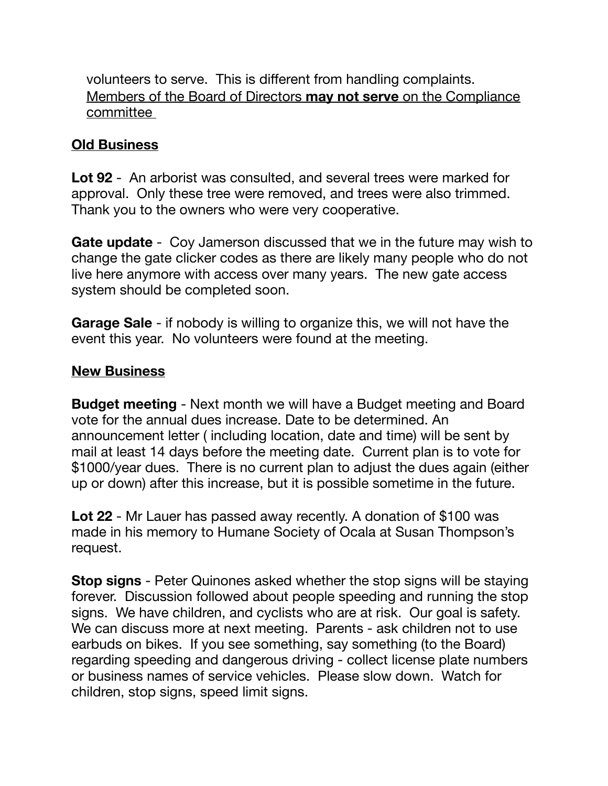volunteers to serve. This is different from handling complaints. Members of the Board of Directors **may not serve** on the Compliance committee

## **Old Business**

**Lot 92** - An arborist was consulted, and several trees were marked for approval. Only these tree were removed, and trees were also trimmed. Thank you to the owners who were very cooperative.

**Gate update** - Coy Jamerson discussed that we in the future may wish to change the gate clicker codes as there are likely many people who do not live here anymore with access over many years. The new gate access system should be completed soon.

**Garage Sale** - if nobody is willing to organize this, we will not have the event this year. No volunteers were found at the meeting.

### **New Business**

**Budget meeting** - Next month we will have a Budget meeting and Board vote for the annual dues increase. Date to be determined. An announcement letter ( including location, date and time) will be sent by mail at least 14 days before the meeting date. Current plan is to vote for \$1000/year dues. There is no current plan to adjust the dues again (either up or down) after this increase, but it is possible sometime in the future.

**Lot 22** - Mr Lauer has passed away recently. A donation of \$100 was made in his memory to Humane Society of Ocala at Susan Thompson's request.

**Stop signs** - Peter Quinones asked whether the stop signs will be staying forever. Discussion followed about people speeding and running the stop signs. We have children, and cyclists who are at risk. Our goal is safety. We can discuss more at next meeting. Parents - ask children not to use earbuds on bikes. If you see something, say something (to the Board) regarding speeding and dangerous driving - collect license plate numbers or business names of service vehicles. Please slow down. Watch for children, stop signs, speed limit signs.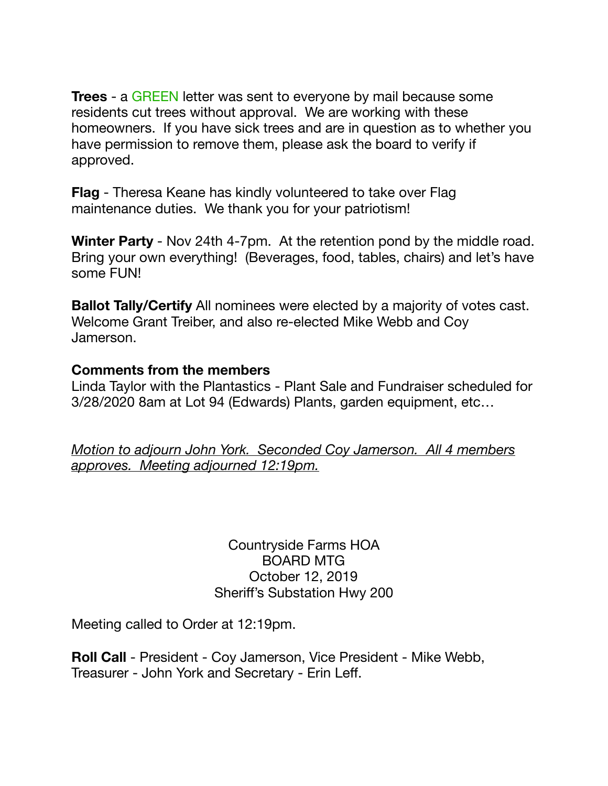**Trees** - a GREEN letter was sent to everyone by mail because some residents cut trees without approval. We are working with these homeowners. If you have sick trees and are in question as to whether you have permission to remove them, please ask the board to verify if approved.

**Flag** - Theresa Keane has kindly volunteered to take over Flag maintenance duties. We thank you for your patriotism!

**Winter Party** - Nov 24th 4-7pm. At the retention pond by the middle road. Bring your own everything! (Beverages, food, tables, chairs) and let's have some FUN!

**Ballot Tally/Certify** All nominees were elected by a majority of votes cast. Welcome Grant Treiber, and also re-elected Mike Webb and Coy Jamerson.

#### **Comments from the members**

Linda Taylor with the Plantastics - Plant Sale and Fundraiser scheduled for 3/28/2020 8am at Lot 94 (Edwards) Plants, garden equipment, etc…

*Motion to adjourn John York. Seconded Coy Jamerson. All 4 members approves. Meeting adjourned 12:19pm.* 

> Countryside Farms HOA BOARD MTG October 12, 2019 Sheriff's Substation Hwy 200

Meeting called to Order at 12:19pm.

**Roll Call** - President - Coy Jamerson, Vice President - Mike Webb, Treasurer - John York and Secretary - Erin Leff.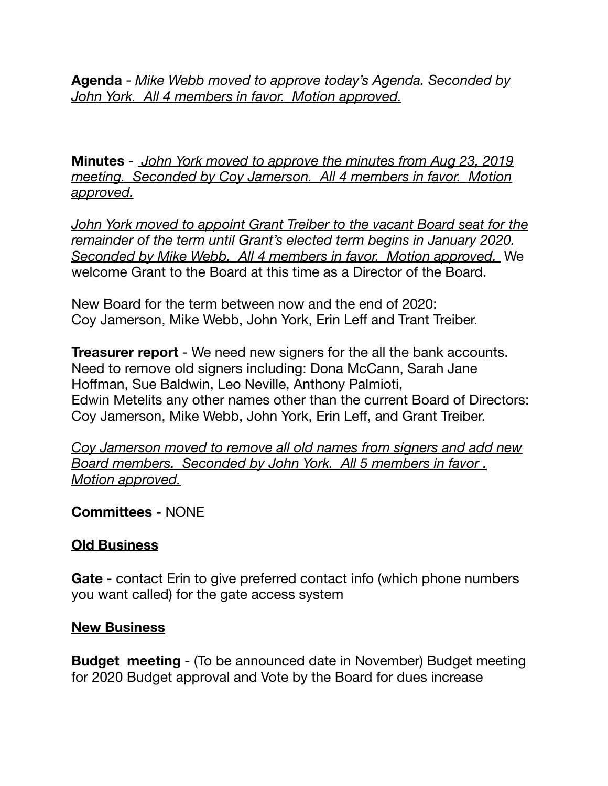**Agenda** - *Mike Webb moved to approve today's Agenda. Seconded by John York. All 4 members in favor. Motion approved.* 

**Minutes** - *John York moved to approve the minutes from Aug 23, 2019 meeting. Seconded by Coy Jamerson. All 4 members in favor. Motion approved.* 

*John York moved to appoint Grant Treiber to the vacant Board seat for the remainder of the term until Grant's elected term begins in January 2020. Seconded by Mike Webb. All 4 members in favor. Motion approved.* We welcome Grant to the Board at this time as a Director of the Board.

New Board for the term between now and the end of 2020: Coy Jamerson, Mike Webb, John York, Erin Leff and Trant Treiber.

**Treasurer report** - We need new signers for the all the bank accounts. Need to remove old signers including: Dona McCann, Sarah Jane Hoffman, Sue Baldwin, Leo Neville, Anthony Palmioti, Edwin Metelits any other names other than the current Board of Directors: Coy Jamerson, Mike Webb, John York, Erin Leff, and Grant Treiber.

*Coy Jamerson moved to remove all old names from signers and add new Board members. Seconded by John York. All 5 members in favor . Motion approved.* 

### **Committees** - NONE

### **Old Business**

**Gate** - contact Erin to give preferred contact info (which phone numbers you want called) for the gate access system

#### **New Business**

**Budget meeting** - (To be announced date in November) Budget meeting for 2020 Budget approval and Vote by the Board for dues increase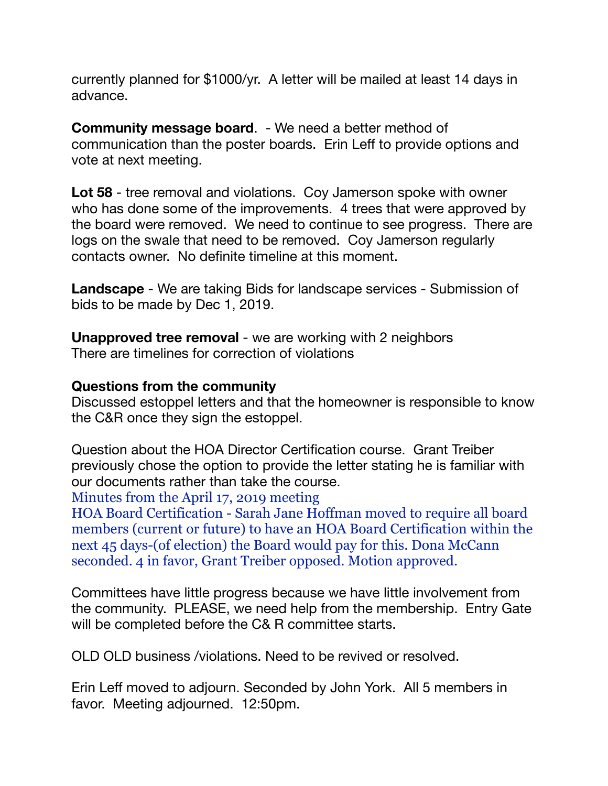currently planned for \$1000/yr. A letter will be mailed at least 14 days in advance.

**Community message board**. - We need a better method of communication than the poster boards. Erin Leff to provide options and vote at next meeting.

**Lot 58** - tree removal and violations. Coy Jamerson spoke with owner who has done some of the improvements. 4 trees that were approved by the board were removed. We need to continue to see progress. There are logs on the swale that need to be removed. Coy Jamerson regularly contacts owner. No definite timeline at this moment.

**Landscape** - We are taking Bids for landscape services - Submission of bids to be made by Dec 1, 2019.

**Unapproved tree removal** - we are working with 2 neighbors There are timelines for correction of violations

### **Questions from the community**

Discussed estoppel letters and that the homeowner is responsible to know the C&R once they sign the estoppel.

Question about the HOA Director Certification course. Grant Treiber previously chose the option to provide the letter stating he is familiar with our documents rather than take the course.

Minutes from the April 17, 2019 meeting

HOA Board Certification - Sarah Jane Hoffman moved to require all board members (current or future) to have an HOA Board Certification within the next 45 days-(of election) the Board would pay for this. Dona McCann seconded. 4 in favor, Grant Treiber opposed. Motion approved.

Committees have little progress because we have little involvement from the community. PLEASE, we need help from the membership. Entry Gate will be completed before the C& R committee starts.

OLD OLD business /violations. Need to be revived or resolved.

Erin Leff moved to adjourn. Seconded by John York. All 5 members in favor. Meeting adjourned. 12:50pm.